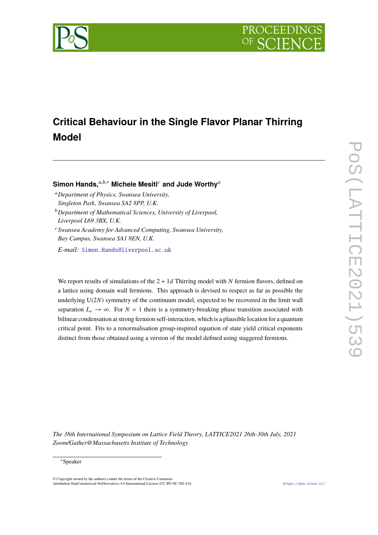



# **Critical Behaviour in the Single Flavor Planar Thirring Model**

**Simon Hands,***a*,*b*,<sup>∗</sup> **Michele Mesiti***<sup>c</sup>* **and Jude Worthy***<sup>a</sup>*

- <sup>a</sup>*Department of Physics, Swansea University, Singleton Park, Swansea SA2 8PP, U.K.*
- <sup>b</sup>*Department of Mathematical Sciences, University of Liverpool, Liverpool L69 3BX, U.K.*
- <sup>c</sup>*Swansea Academy for Advanced Computing, Swansea University, Bay Campus, Swansea SA1 8EN, U.K.*

*E-mail:* [Simon.Hands@liverpool.ac.uk](mailto:Simon.Hands@liverpool.ac.uk)

We report results of simulations of the  $2 + 1d$  Thirring model with *N* fermion flavors, defined on a lattice using domain wall fermions. This approach is devised to respect as far as possible the underlying U(2*N*) symmetry of the continuum model, expected to be recovered in the limit wall separation  $L_s \to \infty$ . For  $N = 1$  there is a symmetry-breaking phase transition associated with bilinear condensation at strong fermion self-interaction, which is a plausible location for a quantum critical point. Fits to a renormalisation group-inspired equation of state yield critical exponents distinct from those obtained using a version of the model defined using staggered fermions.

*The 38th International Symposium on Lattice Field Theory, LATTICE2021 26th-30th July, 2021 Zoom/Gather@Massachusetts Institute of Technology*

#### <sup>∗</sup>Speaker

 $\odot$  Copyright owned by the author(s) under the terms of the Creative Common Attribution-NonCommercial-NoDerivatives 4.0 International License (CC BY-NC-ND 4.0). <https://pos.sissa.it/>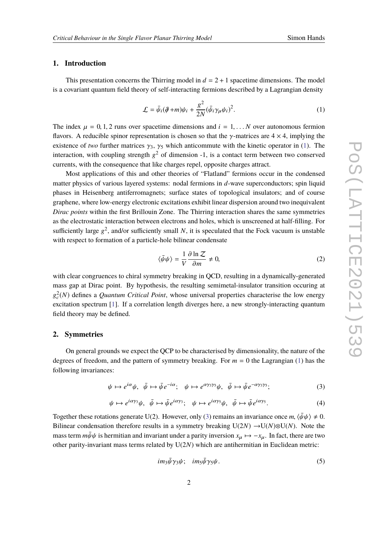# **1. Introduction**

This presentation concerns the Thirring model in  $d = 2 + 1$  spacetime dimensions. The model is a covariant quantum field theory of self-interacting fermions described by a Lagrangian density

<span id="page-1-0"></span>
$$
\mathcal{L} = \bar{\psi}_i(\partial \!\!\! /+m)\psi_i + \frac{g^2}{2N}(\bar{\psi}_i \gamma_\mu \psi_i)^2.
$$
 (1)

The index  $\mu = 0, 1, 2$  runs over spacetime dimensions and  $i = 1, \ldots, N$  over autonomous fermion flavors. A reducible spinor representation is chosen so that the  $\gamma$ -matrices are  $4 \times 4$ , implying the existence of *two* further matrices  $\gamma_3$ ,  $\gamma_5$  which anticommute with the kinetic operator in [\(1\)](#page-1-0). The interaction, with coupling strength  $g^2$  of dimension -1, is a contact term between two conserved currents, with the consequence that like charges repel, opposite charges attract.

Most applications of this and other theories of "Flatland" fermions occur in the condensed matter physics of various layered systems: nodal fermions in *d*-wave superconductors; spin liquid phases in Heisenberg antiferromagnets; surface states of topological insulators; and of course graphene, where low-energy electronic excitations exhibit linear dispersion around two inequivalent *Dirac points* within the first Brillouin Zone. The Thirring interaction shares the same symmetries as the electrostatic interaction between electrons and holes, which is unscreened at half-filling. For sufficiently large  $g^2$ , and/or sufficiently small  $N$ , it is speculated that the Fock vacuum is unstable with respect to formation of a particle-hole bilinear condensate

$$
\langle \bar{\psi}\psi \rangle = \frac{1}{V} \frac{\partial \ln \mathcal{Z}}{\partial m} \neq 0,
$$
 (2)

with clear congruences to chiral symmetry breaking in QCD, resulting in a dynamically-generated mass gap at Dirac point. By hypothesis, the resulting semimetal-insulator transition occuring at  $g_c^2(N)$  defines a *Quantum Critical Point*, whose universal properties characterise the low energy excitation spectrum [\[1\]](#page-6-0). If a correlation length diverges here, a new strongly-interacting quantum field theory may be defined.

### <span id="page-1-3"></span>**2. Symmetries**

On general grounds we expect the QCP to be characterised by dimensionality, the nature of the degrees of freedom, and the pattern of symmetry breaking. For  $m = 0$  the Lagrangian [\(1\)](#page-1-0) has the following invariances:

<span id="page-1-1"></span>
$$
\psi \mapsto e^{i\alpha}\psi, \quad \bar{\psi} \mapsto \bar{\psi}e^{-i\alpha}; \quad \psi \mapsto e^{\alpha\gamma_3\gamma_5}\psi, \quad \bar{\psi} \mapsto \bar{\psi}e^{-\alpha\gamma_3\gamma_5}; \tag{3}
$$

$$
\psi \mapsto e^{i\alpha\gamma_3}\psi, \quad \bar{\psi} \mapsto \bar{\psi}e^{i\alpha\gamma_3}; \quad \psi \mapsto e^{i\alpha\gamma_5}\psi, \quad \bar{\psi} \mapsto \bar{\psi}e^{i\alpha\gamma_5}.
$$
 (4)

Together these rotations generate U(2). However, only [\(3\)](#page-1-1) remains an invariance once *m*,  $\langle \bar{\psi}\psi \rangle \neq 0$ . Bilinear condensation therefore results in a symmetry breaking  $U(2N) \rightarrow U(N) \otimes U(N)$ . Note the mass term  $m\bar{\psi}\psi$  is hermitian and invariant under a parity inversion  $x_u \mapsto -x_u$ . In fact, there are two other parity-invariant mass terms related by U(2*N*) which are antihermitian in Euclidean metric:

<span id="page-1-2"></span>
$$
im_3\bar{\psi}\gamma_3\psi;\quad im_5\bar{\psi}\gamma_5\psi.\tag{5}
$$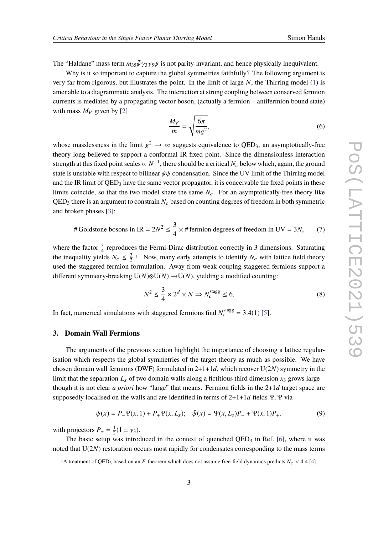The "Haldane" mass term  $m_3 s \bar{\psi} \gamma_3 \gamma_5 \psi$  is not parity-invariant, and hence physically inequivalent.

Why is it so important to capture the global symmetries faithfully? The following argument is very far from rigorous, but illustrates the point. In the limit of large *N*, the Thirring model [\(1\)](#page-1-0) is amenable to a diagrammatic analysis. The interaction at strong coupling between conserved fermion currents is mediated by a propagating vector boson, (actually a fermion – antifermion bound state) with mass  $M_V$  given by [\[2\]](#page-6-1)

$$
\frac{M_V}{m} = \sqrt{\frac{6\pi}{mg^2}},\tag{6}
$$

whose masslessness in the limit  $g^2 \to \infty$  suggests equivalence to QED<sub>3</sub>, an asymptotically-free theory long believed to support a conformal IR fixed point. Since the dimensionless interaction strength at this fixed point scales  $\propto N^{-1}$ , there should be a critical  $N_c$  below which, again, the ground state is unstable with respect to bilinear  $\bar{\psi}\psi$  condensation. Since the UV limit of the Thirring model and the IR limit of  $QED_3$  have the same vector propagator, it is conceivable the fixed points in these limits coincide, so that the two model share the same  $N_c$ . For an asymptotically-free theory like  $QED<sub>3</sub>$  there is an argument to constrain  $N<sub>c</sub>$  based on counting degrees of freedom in both symmetric and broken phases [\[3\]](#page-6-2):

# Goldstone bosons in IR = 
$$
2N^2 \le \frac{3}{4} \times \text{# fermion degrees of freedom in UV} = 3N,
$$
 (7)

where the factor  $\frac{3}{4}$  reproduces the Fermi-Dirac distribution correctly in 3 dimensions. Saturating the inequality yields  $N_c \leq \frac{3}{2}$  $\frac{3}{2}$ <sup>[1](#page-2-0)</sup>. Now, many early attempts to identify  $N_c$  with lattice field theory used the staggered fermion formulation. Away from weak couplng staggered fermions support a different symmetry-breaking  $U(N) \otimes U(N) \rightarrow U(N)$ , yielding a modified counting:

$$
N^2 \le \frac{3}{4} \times 2^d \times N \Rightarrow N_c^{\text{stagg}} \le 6,\tag{8}
$$

In fact, numerical simulations with staggered fermions find  $N_c^{\text{stagg}} = 3.4(1)$  [\[5\]](#page-6-3).

#### **3. Domain Wall Fermions**

The arguments of the previous section highlight the importance of choosing a lattice regularisation which respects the global symmetries of the target theory as much as possible. We have chosen domain wall fermions (DWF) formulated in 2+1+1*d*, which recover U(2*N*) symmetry in the limit that the separation  $L<sub>s</sub>$  of two domain walls along a fictitious third dimension  $x<sub>3</sub>$  grows large – though it is not clear *a priori* how "large" that means. Fermion fields in the 2+1*d* target space are supposedly localised on the walls and are identified in terms of  $2+1+1d$  fields Ψ. Ψ via

$$
\psi(x) = P_{-}\Psi(x,1) + P_{+}\Psi(x,L_{s}); \quad \bar{\psi}(x) = \bar{\Psi}(x,L_{s})P_{-} + \bar{\Psi}(x,1)P_{+}.
$$
\n(9)

with projectors  $P_{\pm} = \frac{1}{2}$  $rac{1}{2}(1 \pm \gamma_3).$ 

The basic setup was introduced in the context of quenched  $QED_3$  in Ref. [\[6\]](#page-6-4), where it was noted that U(2*N*) restoration occurs most rapidly for condensates corresponding to the mass terms

<span id="page-2-0"></span><sup>&</sup>lt;sup>1</sup>A treatment of QED<sub>3</sub> based on an *F*-theorem which does not assume free-field dynamics predicts  $N_c < 4.4$  [\[4\]](#page-6-5)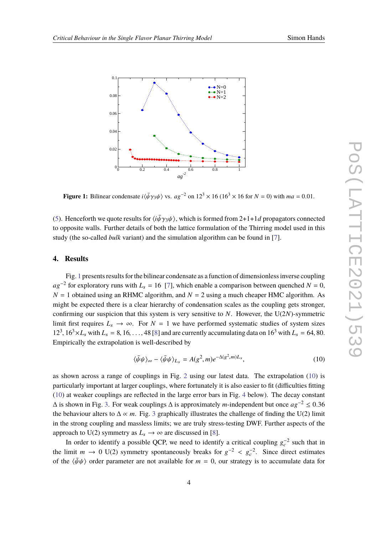<span id="page-3-0"></span>

**Figure 1:** Bilinear condensate  $i\langle \bar{\psi}\gamma_3\psi \rangle$  vs.  $a g^{-2}$  on  $12^3 \times 16 (16^3 \times 16$  for  $N = 0$ ) with  $ma = 0.01$ .

[\(5\)](#page-1-2). Henceforth we quote results for  $\langle i\bar{\psi}\gamma_3\psi\rangle$ , which is formed from 2+1+1*d* propagators connected<br>the approximation will assume datable of both the lettice formulation of the Thiming model used in this to opposite walls. Further details of both the lattice formulation of the Thirring model used in this study (the so-called *bulk* variant) and the simulation algorithm can be found in [\[7\]](#page-6-6).

#### **4. Results**

Fig. [1](#page-3-0) presents results for the bilinear condensate as a function of dimensionless inverse coupling  $ag^{-2}$  for exploratory runs with  $L_s = 16$  [\[7\]](#page-6-6), which enable a comparison between quenched *N* = 0,  $N = 1$  obtained using an RHMC algorithm, and  $N = 2$  using a much cheaper HMC algorithm. As might be expected there is a clear hierarchy of condensation scales as the coupling gets stronger, confirming our suspicion that this system is very sensitive to  $N$ . However, the  $U(2N)$ -symmetric limit first requires  $L_s \rightarrow \infty$ . For  $N = 1$  we have performed systematic studies of system sizes  $12^3$ ,  $16^3 \times L_s$  with  $L_s = 8$ , 16, ..., 48 [\[8\]](#page-6-7) and are currently accumulating data on  $16^3$  with  $L_s = 64$ , 80. Empirically the extrapolation is well-described by

<span id="page-3-1"></span>
$$
\langle \bar{\psi}\psi \rangle_{\infty} - \langle \bar{\psi}\psi \rangle_{L_s} = A(g^2, m)e^{-\Delta(g^2, m)L_s}, \tag{10}
$$

as shown across a range of couplings in Fig. [2](#page-4-0) using our latest data. The extrapolation [\(10\)](#page-3-1) is particularly important at larger couplings, where fortunately it is also easier to fit (difficulties fitting [\(10\)](#page-3-1) at weaker couplings are reflected in the large error bars in Fig. [4](#page-5-0) below). The decay constant  $\Delta$  is shown in Fig. [3.](#page-4-1) For weak couplings  $\Delta$  is approximately *m*-independent but once  $ag^{-2} \le 0.36$ <br>the haborious alterate  $\Lambda$  as *m*. Fig. 2 approximately illustrates the abellance of finding the U(2) limit the behaviour alters to  $\Delta \propto m$ . Fig. [3](#page-4-1) graphically illustrates the challenge of finding the U(2) limit in the strong coupling and massless limits; we are truly stress-testing DWF. Further aspects of the approach to U(2) symmetry as  $L_s \rightarrow \infty$  are discussed in [\[8\]](#page-6-7).

In order to identify a possible QCP, we need to identify a critical coupling  $g_c^{-2}$  such that in the limit *m*  $\rightarrow$  0 U(2) symmetry spontaneously breaks for  $g^{-2} < g_c^{-2}$ . Since direct estimates of the (*b*<sup>1</sup>) order nonprotection and positively for  $m = 0$ , our attactory is to assumpt to data for of the  $\langle \bar{\psi}\psi \rangle$  order parameter are not available for  $m = 0$ , our strategy is to accumulate data for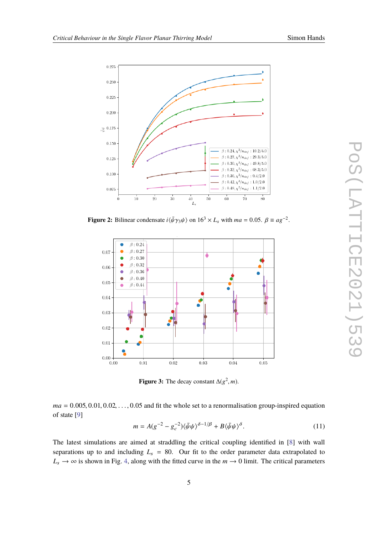<span id="page-4-0"></span>

<span id="page-4-1"></span>**Figure 2:** Bilinear condensate  $i\langle \bar{\psi}\gamma_3\psi \rangle$  on  $16^3 \times L_s$  with  $ma = 0.05$ .  $\beta \equiv a g^{-2}$ 



**Figure 3:** The decay constant  $\Delta(g^2, m)$ .

 $ma = 0.005, 0.01, 0.02, \ldots, 0.05$  and fit the whole set to a renormalisation group-inspired equation of state [\[9\]](#page-6-8)

<span id="page-4-2"></span>
$$
m = A(g^{-2} - g_c^{-2})\langle \bar{\psi}\psi \rangle^{\delta - 1/\beta} + B\langle \bar{\psi}\psi \rangle^{\delta}.
$$
 (11)

The latest simulations are aimed at straddling the critical coupling identified in [\[8\]](#page-6-7) with wall separations up to and including  $L_s = 80$ . Our fit to the order parameter data extrapolated to  $L_s \rightarrow \infty$  is shown in Fig. [4,](#page-5-0) along with the fitted curve in the  $m \rightarrow 0$  limit. The critical parameters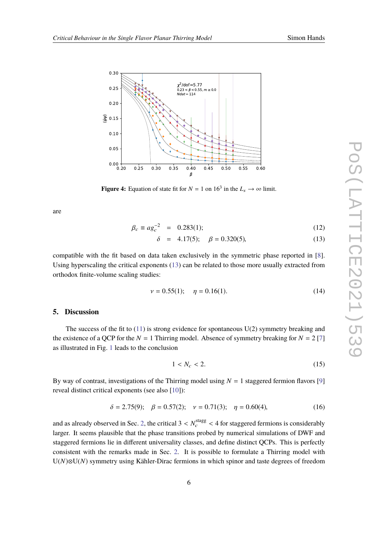<span id="page-5-0"></span>

**Figure 4:** Equation of state fit for  $N = 1$  on  $16<sup>3</sup>$  in the  $L_s \rightarrow \infty$  limit.

are

<span id="page-5-1"></span>
$$
\beta_c \equiv a g_c^{-2} = 0.283(1); \tag{12}
$$

$$
\delta = 4.17(5); \quad \beta = 0.320(5), \tag{13}
$$

compatible with the fit based on data taken exclusively in the symmetric phase reported in [\[8\]](#page-6-7). Using hyperscaling the critical exponents [\(13\)](#page-5-1) can be related to those more usually extracted from orthodox finite-volume scaling studies:

$$
\nu = 0.55(1); \quad \eta = 0.16(1). \tag{14}
$$

#### **5. Discussion**

The success of the fit to  $(11)$  is strong evidence for spontaneous U(2) symmetry breaking and the existence of a QCP for the  $N = 1$  Thirring model. Absence of symmetry breaking for  $N = 2$  [\[7\]](#page-6-6) as illustrated in Fig. [1](#page-3-0) leads to the conclusion

$$
1 < N_c < 2. \tag{15}
$$

By way of contrast, investigations of the Thirring model using  $N = 1$  staggered fermion flavors [\[9\]](#page-6-8) reveal distinct critical exponents (see also [\[10\]](#page-6-9)):

$$
\delta = 2.75(9); \quad \beta = 0.57(2); \quad \nu = 0.71(3); \quad \eta = 0.60(4), \tag{16}
$$

and as already observed in Sec. [2,](#page-1-3) the critical  $3 < N_c^{\text{stagg}} < 4$  for staggered fermions is considerably<br>larger. It seems plausible that the phase transitions respect by numerical simulations of DWE and larger. It seems plausible that the phase transitions probed by numerical simulations of DWF and staggered fermions lie in different universality classes, and define distinct QCPs. This is perfectly consistent with the remarks made in Sec. [2.](#page-1-3) It is possible to formulate a Thirring model with U(*N*)⊗U(*N*) symmetry using Kähler-Dirac fermions in which spinor and taste degrees of freedom